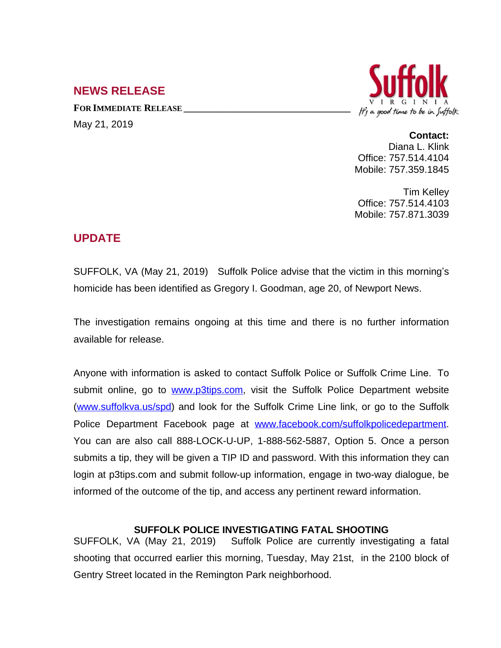## **NEWS RELEASE**

**FOR IMMEDIATE RELEASE \_\_\_\_\_\_\_\_\_\_\_\_\_\_\_\_\_\_\_\_\_\_\_\_\_\_\_\_\_\_\_\_\_\_** May 21, 2019



## **Contact:**

Diana L. Klink Office: 757.514.4104 Mobile: 757.359.1845

Tim Kelley Office: 757.514.4103 Mobile: 757.871.3039

## **UPDATE**

SUFFOLK, VA (May 21, 2019) Suffolk Police advise that the victim in this morning's homicide has been identified as Gregory I. Goodman, age 20, of Newport News.

The investigation remains ongoing at this time and there is no further information available for release.

Anyone with information is asked to contact Suffolk Police or Suffolk Crime Line. To submit online, go to [www.p3tips.com](http://www.p3tips.com), visit the Suffolk Police Department website ([www.suffolkva.us/spd](http://www.suffolkva.us/spd)) and look for the Suffolk Crime Line link, or go to the Suffolk Police Department Facebook page at [www.facebook.com/suffolkpolicedepartment.](http://www.facebook.com/suffolkpolicedepartment) You can are also call 888-LOCK-U-UP, 1-888-562-5887, Option 5. Once a person submits a tip, they will be given a TIP ID and password. With this information they can login at p3tips.com and submit follow-up information, engage in two-way dialogue, be informed of the outcome of the tip, and access any pertinent reward information.

## **SUFFOLK POLICE INVESTIGATING FATAL SHOOTING**

SUFFOLK, VA (May 21, 2019) Suffolk Police are currently investigating a fatal shooting that occurred earlier this morning, Tuesday, May 21st, in the 2100 block of Gentry Street located in the Remington Park neighborhood.